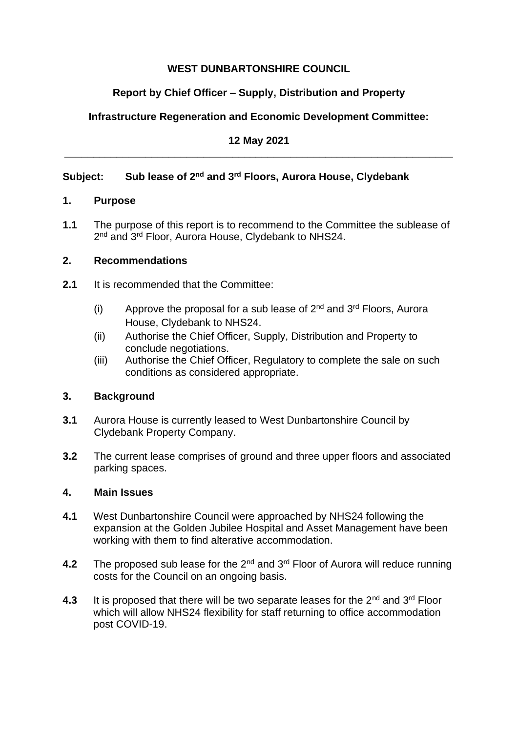## **WEST DUNBARTONSHIRE COUNCIL**

# **Report by Chief Officer – Supply, Distribution and Property**

# **Infrastructure Regeneration and Economic Development Committee:**

### **12 May 2021 \_\_\_\_\_\_\_\_\_\_\_\_\_\_\_\_\_\_\_\_\_\_\_\_\_\_\_\_\_\_\_\_\_\_\_\_\_\_\_\_\_\_\_\_\_\_\_\_\_\_\_\_\_\_\_\_\_\_\_\_\_\_\_\_\_\_\_**

# **Subject: Sub lease of 2nd and 3rd Floors, Aurora House, Clydebank**

### **1. Purpose**

**1.1** The purpose of this report is to recommend to the Committee the sublease of 2<sup>nd</sup> and 3<sup>rd</sup> Floor, Aurora House, Clydebank to NHS24.

## **2. Recommendations**

- **2.1** It is recommended that the Committee:
	- (i) Approve the proposal for a sub lease of  $2<sup>nd</sup>$  and  $3<sup>rd</sup>$  Floors, Aurora House, Clydebank to NHS24.
	- (ii) Authorise the Chief Officer, Supply, Distribution and Property to conclude negotiations.
	- (iii) Authorise the Chief Officer, Regulatory to complete the sale on such conditions as considered appropriate.

## **3. Background**

- **3.1** Aurora House is currently leased to West Dunbartonshire Council by Clydebank Property Company.
- **3.2** The current lease comprises of ground and three upper floors and associated parking spaces.

### **4. Main Issues**

- **4.1** West Dunbartonshire Council were approached by NHS24 following the expansion at the Golden Jubilee Hospital and Asset Management have been working with them to find alterative accommodation.
- **4.2** The proposed sub lease for the 2<sup>nd</sup> and 3<sup>rd</sup> Floor of Aurora will reduce running costs for the Council on an ongoing basis.
- **4.3** It is proposed that there will be two separate leases for the 2<sup>nd</sup> and 3<sup>rd</sup> Floor which will allow NHS24 flexibility for staff returning to office accommodation post COVID-19.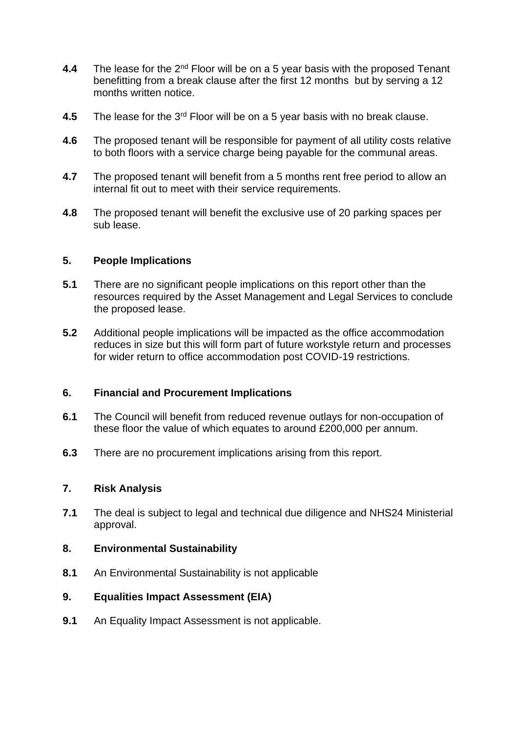- **4.4** The lease for the 2<sup>nd</sup> Floor will be on a 5 year basis with the proposed Tenant benefitting from a break clause after the first 12 months but by serving a 12 months written notice.
- **4.5** The lease for the 3<sup>rd</sup> Floor will be on a 5 year basis with no break clause.
- **4.6** The proposed tenant will be responsible for payment of all utility costs relative to both floors with a service charge being payable for the communal areas.
- **4.7** The proposed tenant will benefit from a 5 months rent free period to allow an internal fit out to meet with their service requirements.
- **4.8** The proposed tenant will benefit the exclusive use of 20 parking spaces per sub lease.

#### **5. People Implications**

- **5.1** There are no significant people implications on this report other than the resources required by the Asset Management and Legal Services to conclude the proposed lease.
- **5.2** Additional people implications will be impacted as the office accommodation reduces in size but this will form part of future workstyle return and processes for wider return to office accommodation post COVID-19 restrictions.

### **6. Financial and Procurement Implications**

- **6.1** The Council will benefit from reduced revenue outlays for non-occupation of these floor the value of which equates to around £200,000 per annum.
- **6.3** There are no procurement implications arising from this report.

#### **7. Risk Analysis**

**7.1** The deal is subject to legal and technical due diligence and NHS24 Ministerial approval.

#### **8. Environmental Sustainability**

**8.1** An Environmental Sustainability is not applicable

#### **9. Equalities Impact Assessment (EIA)**

**9.1** An Equality Impact Assessment is not applicable.